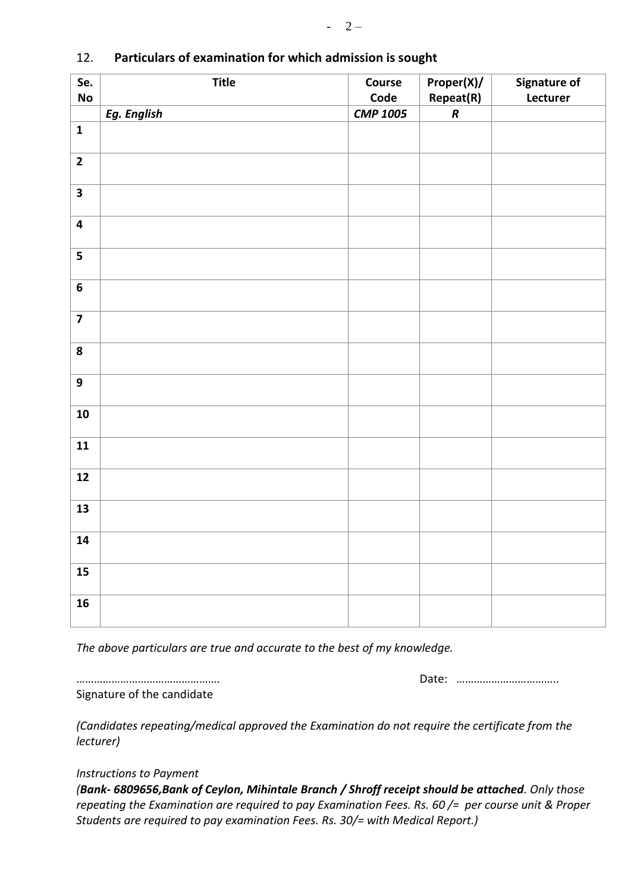| Se.<br>$\mathsf{No}$    | <b>Title</b> | Course                  | Proper(X)/             | Signature of<br>Lecturer |
|-------------------------|--------------|-------------------------|------------------------|--------------------------|
|                         | Eg. English  | Code<br><b>CMP 1005</b> | Repeat(R)<br>$\pmb{R}$ |                          |
| $\mathbf 1$             |              |                         |                        |                          |
|                         |              |                         |                        |                          |
| $\overline{\mathbf{2}}$ |              |                         |                        |                          |
| $\overline{\mathbf{3}}$ |              |                         |                        |                          |
| $\overline{\mathbf{4}}$ |              |                         |                        |                          |
| $\overline{\mathbf{5}}$ |              |                         |                        |                          |
| $\boldsymbol{6}$        |              |                         |                        |                          |
| $\overline{\mathbf{z}}$ |              |                         |                        |                          |
| ${\bf 8}$               |              |                         |                        |                          |
| $\boldsymbol{9}$        |              |                         |                        |                          |
| ${\bf 10}$              |              |                         |                        |                          |
| $11$                    |              |                         |                        |                          |
| $12$                    |              |                         |                        |                          |
| 13                      |              |                         |                        |                          |
| ${\bf 14}$              |              |                         |                        |                          |
| 15                      |              |                         |                        |                          |
| 16                      |              |                         |                        |                          |

## 12. **Particulars of examination for which admission is sought**

*The above particulars are true and accurate to the best of my knowledge.* 

…………………………………………. Date: ……………………………..

Signature of the candidate

*(Candidates repeating/medical approved the Examination do not require the certificate from the lecturer)*

## *Instructions to Payment*

*(Bank- 6809656,Bank of Ceylon, Mihintale Branch / Shroff receipt should be attached. Only those repeating the Examination are required to pay Examination Fees. Rs. 60 /= per course unit & Proper Students are required to pay examination Fees. Rs. 30/= with Medical Report.)*